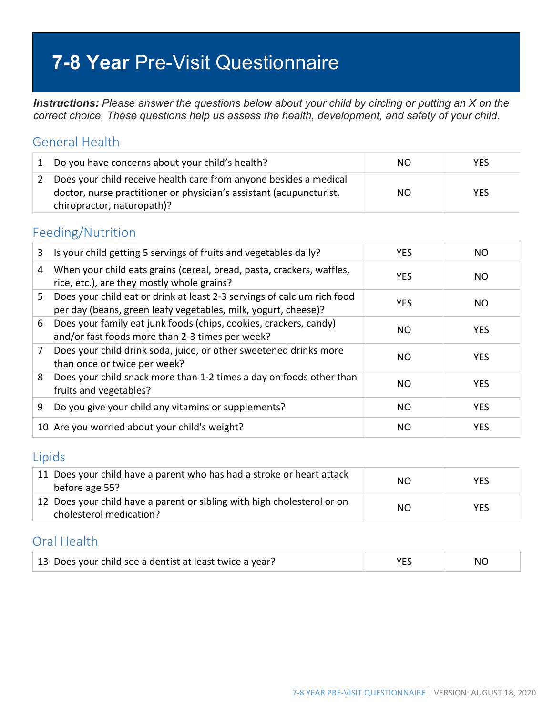# **7-8 Year** Pre-Visit Questionnaire

*Instructions: Please answer the questions below about your child by circling or putting an X on the correct choice. These questions help us assess the health, development, and safety of your child.*

### General Health

|   | 1 Do you have concerns about your child's health?                                                                                                                      | NO. | YES.       |
|---|------------------------------------------------------------------------------------------------------------------------------------------------------------------------|-----|------------|
| 2 | Does your child receive health care from anyone besides a medical<br>doctor, nurse practitioner or physician's assistant (acupuncturist,<br>chiropractor, naturopath)? | NO. | <b>YES</b> |

### Feeding/Nutrition

| 3  | Is your child getting 5 servings of fruits and vegetables daily?                                                                          | <b>YES</b> | NO.        |
|----|-------------------------------------------------------------------------------------------------------------------------------------------|------------|------------|
| 4  | When your child eats grains (cereal, bread, pasta, crackers, waffles,<br>rice, etc.), are they mostly whole grains?                       | <b>YES</b> | NO.        |
| 5. | Does your child eat or drink at least 2-3 servings of calcium rich food<br>per day (beans, green leafy vegetables, milk, yogurt, cheese)? | <b>YES</b> | NO.        |
| 6  | Does your family eat junk foods (chips, cookies, crackers, candy)<br>and/or fast foods more than 2-3 times per week?                      | NO.        | <b>YES</b> |
| 7  | Does your child drink soda, juice, or other sweetened drinks more<br>than once or twice per week?                                         | NO.        | <b>YES</b> |
| 8  | Does your child snack more than 1-2 times a day on foods other than<br>fruits and vegetables?                                             | NO.        | <b>YES</b> |
| 9  | Do you give your child any vitamins or supplements?                                                                                       | NO         | <b>YES</b> |
|    | 10 Are you worried about your child's weight?                                                                                             | NO.        | <b>YES</b> |

#### Lipids

| 11 Does your child have a parent who has had a stroke or heart attack<br>before age 55?            | NO. | <b>YES</b> |
|----------------------------------------------------------------------------------------------------|-----|------------|
| 12 Does your child have a parent or sibling with high cholesterol or on<br>cholesterol medication? | NO. | <b>YES</b> |

### Oral Health

| 13 Does your child see a dentist at least twice a year? |  | NC. |
|---------------------------------------------------------|--|-----|
|---------------------------------------------------------|--|-----|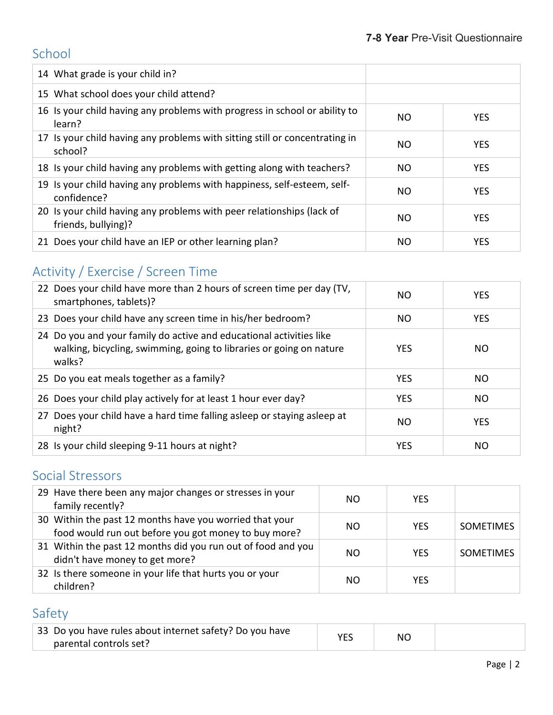# School

| 14 What grade is your child in?                                                              |     |            |
|----------------------------------------------------------------------------------------------|-----|------------|
| 15 What school does your child attend?                                                       |     |            |
| 16 Is your child having any problems with progress in school or ability to<br>learn?         | NO  | <b>YES</b> |
| 17 Is your child having any problems with sitting still or concentrating in<br>school?       | NO. | <b>YES</b> |
| 18 Is your child having any problems with getting along with teachers?                       | NO. | <b>YES</b> |
| 19 Is your child having any problems with happiness, self-esteem, self-<br>confidence?       | NΟ  | <b>YES</b> |
| 20 Is your child having any problems with peer relationships (lack of<br>friends, bullying)? | NO  | <b>YES</b> |
| 21 Does your child have an IEP or other learning plan?                                       | NO. | <b>YES</b> |

# Activity / Exercise / Screen Time

| 22 Does your child have more than 2 hours of screen time per day (TV,<br>smartphones, tablets)?                                                      | NO.        | <b>YES</b>     |
|------------------------------------------------------------------------------------------------------------------------------------------------------|------------|----------------|
| 23 Does your child have any screen time in his/her bedroom?                                                                                          | NO.        | <b>YES</b>     |
| 24 Do you and your family do active and educational activities like<br>walking, bicycling, swimming, going to libraries or going on nature<br>walks? | <b>YES</b> | NO.            |
| 25 Do you eat meals together as a family?                                                                                                            | <b>YES</b> | NO.            |
| 26 Does your child play actively for at least 1 hour ever day?                                                                                       | <b>YES</b> | N <sub>O</sub> |
| 27 Does your child have a hard time falling asleep or staying asleep at<br>night?                                                                    | NO.        | <b>YES</b>     |
| 28 Is your child sleeping 9-11 hours at night?                                                                                                       | <b>YES</b> | NO.            |

### Social Stressors

| 29 Have there been any major changes or stresses in your<br>family recently?                                    | NΟ  | <b>YES</b> |                  |
|-----------------------------------------------------------------------------------------------------------------|-----|------------|------------------|
| 30 Within the past 12 months have you worried that your<br>food would run out before you got money to buy more? | NO. | <b>YES</b> | <b>SOMETIMES</b> |
| 31 Within the past 12 months did you run out of food and you<br>didn't have money to get more?                  | NΟ  | <b>YES</b> | <b>SOMETIMES</b> |
| 32 Is there someone in your life that hurts you or your<br>children?                                            | NO  | <b>YFS</b> |                  |

# Safety

| 33 Do you have rules about internet safety? Do you have | ΝC |  |
|---------------------------------------------------------|----|--|
| parental controls set?                                  |    |  |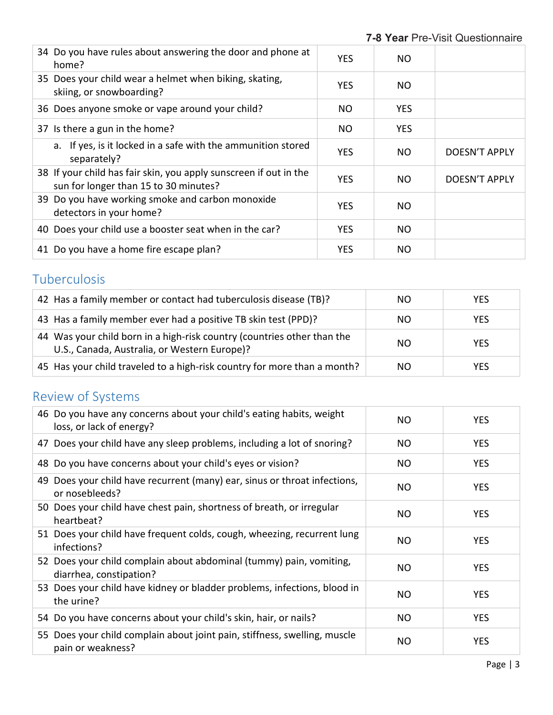| 34 Do you have rules about answering the door and phone at<br>home?                                        | <b>YES</b> | NO.        |               |
|------------------------------------------------------------------------------------------------------------|------------|------------|---------------|
| 35 Does your child wear a helmet when biking, skating,<br>skiing, or snowboarding?                         | <b>YES</b> | NO.        |               |
| 36 Does anyone smoke or vape around your child?                                                            | NO.        | <b>YES</b> |               |
| 37 Is there a gun in the home?                                                                             | NO.        | <b>YES</b> |               |
| a. If yes, is it locked in a safe with the ammunition stored<br>separately?                                | <b>YES</b> | NO.        | DOESN'T APPLY |
| 38 If your child has fair skin, you apply sunscreen if out in the<br>sun for longer than 15 to 30 minutes? | <b>YES</b> | NO.        | DOESN'T APPLY |
| 39 Do you have working smoke and carbon monoxide<br>detectors in your home?                                | <b>YES</b> | NO.        |               |
| 40 Does your child use a booster seat when in the car?                                                     | <b>YES</b> | NO.        |               |
| 41 Do you have a home fire escape plan?                                                                    | <b>YES</b> | NO.        |               |

# Tuberculosis

| 42 Has a family member or contact had tuberculosis disease (TB)?                                                        | NO. | <b>YES</b> |
|-------------------------------------------------------------------------------------------------------------------------|-----|------------|
| 43 Has a family member ever had a positive TB skin test (PPD)?                                                          | NO. | <b>YES</b> |
| 44 Was your child born in a high-risk country (countries other than the<br>U.S., Canada, Australia, or Western Europe)? | NO. | <b>YES</b> |
| 45 Has your child traveled to a high-risk country for more than a month?                                                | NO. | <b>YES</b> |

# Review of Systems

| 46 Do you have any concerns about your child's eating habits, weight<br>loss, or lack of energy? | NO. | <b>YES</b> |
|--------------------------------------------------------------------------------------------------|-----|------------|
| 47 Does your child have any sleep problems, including a lot of snoring?                          | NO. | <b>YES</b> |
| 48 Do you have concerns about your child's eyes or vision?                                       | NO  | <b>YES</b> |
| 49 Does your child have recurrent (many) ear, sinus or throat infections,<br>or nosebleeds?      | NO. | YES.       |
| 50 Does your child have chest pain, shortness of breath, or irregular<br>heartbeat?              | NO  | <b>YES</b> |
| 51 Does your child have frequent colds, cough, wheezing, recurrent lung<br>infections?           | NO  | <b>YES</b> |
| 52 Does your child complain about abdominal (tummy) pain, vomiting,<br>diarrhea, constipation?   | NO  | <b>YES</b> |
| 53 Does your child have kidney or bladder problems, infections, blood in<br>the urine?           | NO  | <b>YES</b> |
| 54 Do you have concerns about your child's skin, hair, or nails?                                 | NO  | <b>YES</b> |
| 55 Does your child complain about joint pain, stiffness, swelling, muscle<br>pain or weakness?   | NO  | <b>YES</b> |